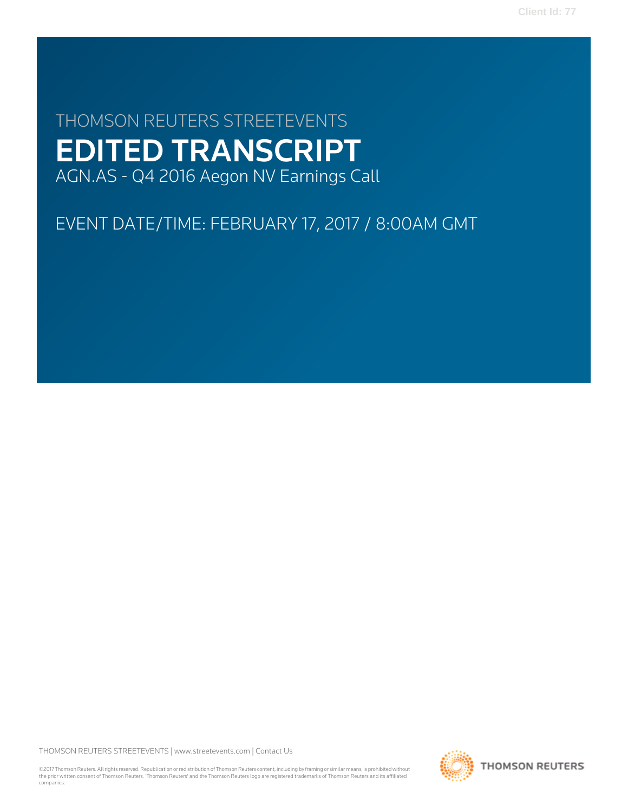# THOMSON REUTERS STREETEVENTS EDITED TRANSCRIPT AGN.AS - Q4 2016 Aegon NV Earnings Call

# EVENT DATE/TIME: FEBRUARY 17, 2017 / 8:00AM GMT

THOMSON REUTERS STREETEVENTS | [www.streetevents.com](http://www.streetevents.com) | [Contact Us](http://www010.streetevents.com/contact.asp)

©2017 Thomson Reuters. All rights reserved. Republication or redistribution of Thomson Reuters content, including by framing or similar means, is prohibited without the prior written consent of Thomson Reuters. 'Thomson Reuters' and the Thomson Reuters logo are registered trademarks of Thomson Reuters and its affiliated companies.

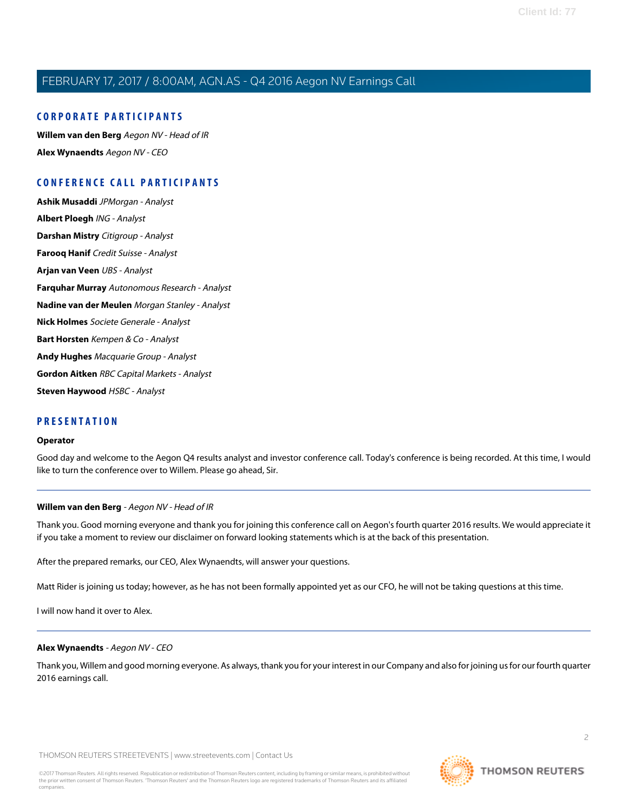#### **CORPORATE PARTICIPANTS**

**[Willem van den Berg](#page-1-0)** Aegon NV - Head of IR **[Alex Wynaendts](#page-1-1)** Aegon NV - CEO

### **CONFERENCE CALL PARTICIPANTS**

**[Ashik Musaddi](#page-5-0)** JPMorgan - Analyst **[Albert Ploegh](#page-7-0)** ING - Analyst **[Darshan Mistry](#page-8-0)** Citigroup - Analyst **[Farooq Hanif](#page-9-0)** Credit Suisse - Analyst **[Arjan van Veen](#page-10-0)** UBS - Analyst **[Farquhar Murray](#page-11-0)** Autonomous Research - Analyst **[Nadine van der Meulen](#page-12-0)** Morgan Stanley - Analyst **[Nick Holmes](#page-15-0)** Societe Generale - Analyst **[Bart Horsten](#page-16-0)** Kempen & Co - Analyst **[Andy Hughes](#page-18-0)** Macquarie Group - Analyst **[Gordon Aitken](#page-19-0)** RBC Capital Markets - Analyst **[Steven Haywood](#page-20-0)** HSBC - Analyst

#### **PRESENTATION**

#### **Operator**

<span id="page-1-0"></span>Good day and welcome to the Aegon Q4 results analyst and investor conference call. Today's conference is being recorded. At this time, I would like to turn the conference over to Willem. Please go ahead, Sir.

#### **Willem van den Berg** - Aegon NV - Head of IR

Thank you. Good morning everyone and thank you for joining this conference call on Aegon's fourth quarter 2016 results. We would appreciate it if you take a moment to review our disclaimer on forward looking statements which is at the back of this presentation.

After the prepared remarks, our CEO, Alex Wynaendts, will answer your questions.

<span id="page-1-1"></span>Matt Rider is joining us today; however, as he has not been formally appointed yet as our CFO, he will not be taking questions at this time.

I will now hand it over to Alex.

#### **Alex Wynaendts** - Aegon NV - CEO

Thank you, Willem and good morning everyone. As always, thank you for your interest in our Company and also for joining us for our fourth quarter 2016 earnings call.

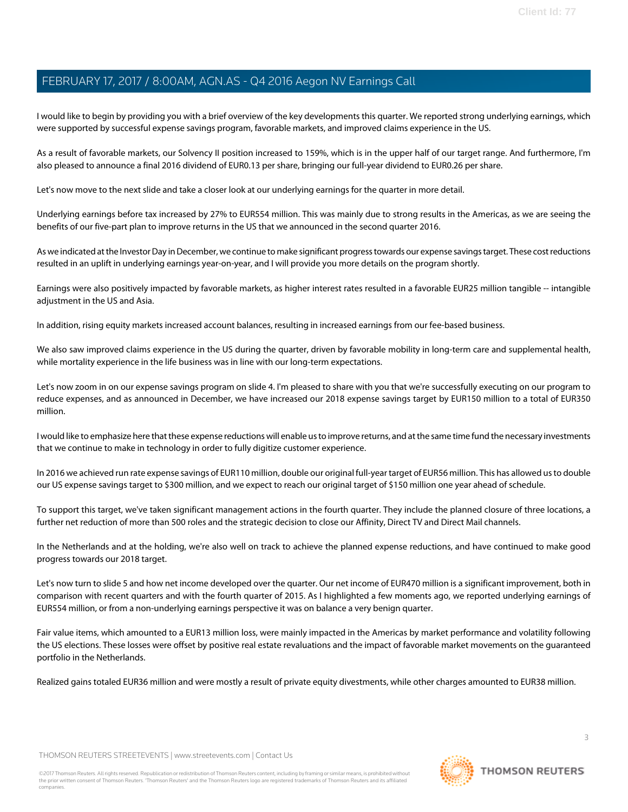I would like to begin by providing you with a brief overview of the key developments this quarter. We reported strong underlying earnings, which were supported by successful expense savings program, favorable markets, and improved claims experience in the US.

As a result of favorable markets, our Solvency II position increased to 159%, which is in the upper half of our target range. And furthermore, I'm also pleased to announce a final 2016 dividend of EUR0.13 per share, bringing our full-year dividend to EUR0.26 per share.

Let's now move to the next slide and take a closer look at our underlying earnings for the quarter in more detail.

Underlying earnings before tax increased by 27% to EUR554 million. This was mainly due to strong results in the Americas, as we are seeing the benefits of our five-part plan to improve returns in the US that we announced in the second quarter 2016.

As we indicated at the Investor Day in December, we continue to make significant progress towards our expense savings target. These cost reductions resulted in an uplift in underlying earnings year-on-year, and I will provide you more details on the program shortly.

Earnings were also positively impacted by favorable markets, as higher interest rates resulted in a favorable EUR25 million tangible -- intangible adjustment in the US and Asia.

In addition, rising equity markets increased account balances, resulting in increased earnings from our fee-based business.

We also saw improved claims experience in the US during the quarter, driven by favorable mobility in long-term care and supplemental health, while mortality experience in the life business was in line with our long-term expectations.

Let's now zoom in on our expense savings program on slide 4. I'm pleased to share with you that we're successfully executing on our program to reduce expenses, and as announced in December, we have increased our 2018 expense savings target by EUR150 million to a total of EUR350 million.

I would like to emphasize here that these expense reductions will enable us to improve returns, and at the same time fund the necessary investments that we continue to make in technology in order to fully digitize customer experience.

In 2016 we achieved run rate expense savings of EUR110 million, double our original full-year target of EUR56 million. This has allowed us to double our US expense savings target to \$300 million, and we expect to reach our original target of \$150 million one year ahead of schedule.

To support this target, we've taken significant management actions in the fourth quarter. They include the planned closure of three locations, a further net reduction of more than 500 roles and the strategic decision to close our Affinity, Direct TV and Direct Mail channels.

In the Netherlands and at the holding, we're also well on track to achieve the planned expense reductions, and have continued to make good progress towards our 2018 target.

Let's now turn to slide 5 and how net income developed over the quarter. Our net income of EUR470 million is a significant improvement, both in comparison with recent quarters and with the fourth quarter of 2015. As I highlighted a few moments ago, we reported underlying earnings of EUR554 million, or from a non-underlying earnings perspective it was on balance a very benign quarter.

Fair value items, which amounted to a EUR13 million loss, were mainly impacted in the Americas by market performance and volatility following the US elections. These losses were offset by positive real estate revaluations and the impact of favorable market movements on the guaranteed portfolio in the Netherlands.

Realized gains totaled EUR36 million and were mostly a result of private equity divestments, while other charges amounted to EUR38 million.

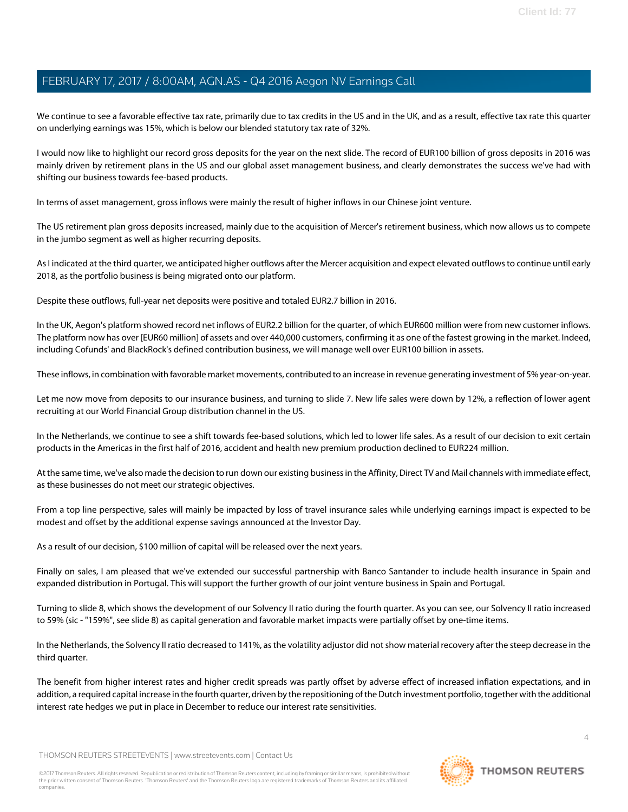We continue to see a favorable effective tax rate, primarily due to tax credits in the US and in the UK, and as a result, effective tax rate this quarter on underlying earnings was 15%, which is below our blended statutory tax rate of 32%.

I would now like to highlight our record gross deposits for the year on the next slide. The record of EUR100 billion of gross deposits in 2016 was mainly driven by retirement plans in the US and our global asset management business, and clearly demonstrates the success we've had with shifting our business towards fee-based products.

In terms of asset management, gross inflows were mainly the result of higher inflows in our Chinese joint venture.

The US retirement plan gross deposits increased, mainly due to the acquisition of Mercer's retirement business, which now allows us to compete in the jumbo segment as well as higher recurring deposits.

As I indicated at the third quarter, we anticipated higher outflows after the Mercer acquisition and expect elevated outflows to continue until early 2018, as the portfolio business is being migrated onto our platform.

Despite these outflows, full-year net deposits were positive and totaled EUR2.7 billion in 2016.

In the UK, Aegon's platform showed record net inflows of EUR2.2 billion for the quarter, of which EUR600 million were from new customer inflows. The platform now has over [EUR60 million] of assets and over 440,000 customers, confirming it as one of the fastest growing in the market. Indeed, including Cofunds' and BlackRock's defined contribution business, we will manage well over EUR100 billion in assets.

These inflows, in combination with favorable market movements, contributed to an increase in revenue generating investment of 5% year-on-year.

Let me now move from deposits to our insurance business, and turning to slide 7. New life sales were down by 12%, a reflection of lower agent recruiting at our World Financial Group distribution channel in the US.

In the Netherlands, we continue to see a shift towards fee-based solutions, which led to lower life sales. As a result of our decision to exit certain products in the Americas in the first half of 2016, accident and health new premium production declined to EUR224 million.

At the same time, we've also made the decision to run down our existing business in the Affinity, Direct TV and Mail channels with immediate effect, as these businesses do not meet our strategic objectives.

From a top line perspective, sales will mainly be impacted by loss of travel insurance sales while underlying earnings impact is expected to be modest and offset by the additional expense savings announced at the Investor Day.

As a result of our decision, \$100 million of capital will be released over the next years.

Finally on sales, I am pleased that we've extended our successful partnership with Banco Santander to include health insurance in Spain and expanded distribution in Portugal. This will support the further growth of our joint venture business in Spain and Portugal.

Turning to slide 8, which shows the development of our Solvency II ratio during the fourth quarter. As you can see, our Solvency II ratio increased to 59% (sic - "159%", see slide 8) as capital generation and favorable market impacts were partially offset by one-time items.

In the Netherlands, the Solvency II ratio decreased to 141%, as the volatility adjustor did not show material recovery after the steep decrease in the third quarter.

The benefit from higher interest rates and higher credit spreads was partly offset by adverse effect of increased inflation expectations, and in addition, a required capital increase in the fourth quarter, driven by the repositioning of the Dutch investment portfolio, together with the additional interest rate hedges we put in place in December to reduce our interest rate sensitivities.

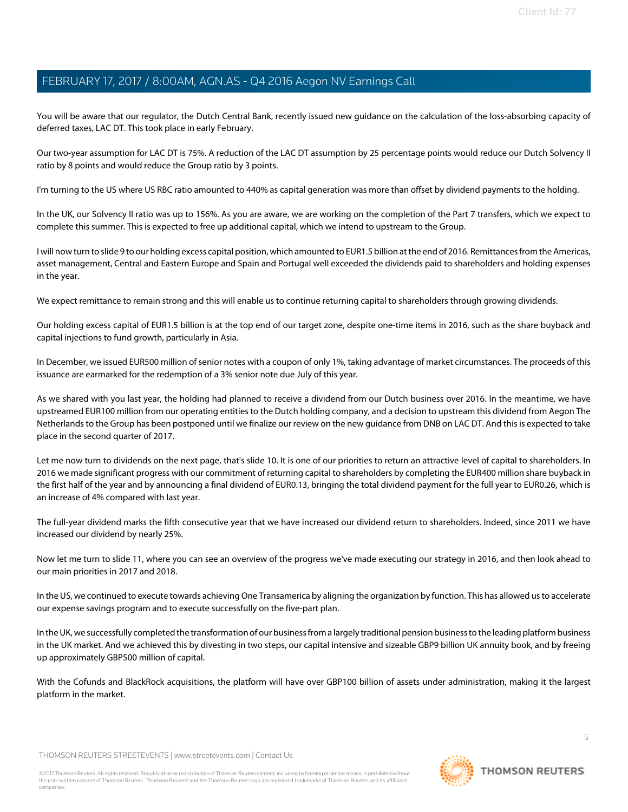You will be aware that our regulator, the Dutch Central Bank, recently issued new guidance on the calculation of the loss-absorbing capacity of deferred taxes, LAC DT. This took place in early February.

Our two-year assumption for LAC DT is 75%. A reduction of the LAC DT assumption by 25 percentage points would reduce our Dutch Solvency II ratio by 8 points and would reduce the Group ratio by 3 points.

I'm turning to the US where US RBC ratio amounted to 440% as capital generation was more than offset by dividend payments to the holding.

In the UK, our Solvency II ratio was up to 156%. As you are aware, we are working on the completion of the Part 7 transfers, which we expect to complete this summer. This is expected to free up additional capital, which we intend to upstream to the Group.

I will now turn to slide 9 to our holding excess capital position, which amounted to EUR1.5 billion at the end of 2016. Remittances from the Americas, asset management, Central and Eastern Europe and Spain and Portugal well exceeded the dividends paid to shareholders and holding expenses in the year.

We expect remittance to remain strong and this will enable us to continue returning capital to shareholders through growing dividends.

Our holding excess capital of EUR1.5 billion is at the top end of our target zone, despite one-time items in 2016, such as the share buyback and capital injections to fund growth, particularly in Asia.

In December, we issued EUR500 million of senior notes with a coupon of only 1%, taking advantage of market circumstances. The proceeds of this issuance are earmarked for the redemption of a 3% senior note due July of this year.

As we shared with you last year, the holding had planned to receive a dividend from our Dutch business over 2016. In the meantime, we have upstreamed EUR100 million from our operating entities to the Dutch holding company, and a decision to upstream this dividend from Aegon The Netherlands to the Group has been postponed until we finalize our review on the new guidance from DNB on LAC DT. And this is expected to take place in the second quarter of 2017.

Let me now turn to dividends on the next page, that's slide 10. It is one of our priorities to return an attractive level of capital to shareholders. In 2016 we made significant progress with our commitment of returning capital to shareholders by completing the EUR400 million share buyback in the first half of the year and by announcing a final dividend of EUR0.13, bringing the total dividend payment for the full year to EUR0.26, which is an increase of 4% compared with last year.

The full-year dividend marks the fifth consecutive year that we have increased our dividend return to shareholders. Indeed, since 2011 we have increased our dividend by nearly 25%.

Now let me turn to slide 11, where you can see an overview of the progress we've made executing our strategy in 2016, and then look ahead to our main priorities in 2017 and 2018.

In the US, we continued to execute towards achieving One Transamerica by aligning the organization by function. This has allowed us to accelerate our expense savings program and to execute successfully on the five-part plan.

In the UK, we successfully completed the transformation of our business from a largely traditional pension business to the leading platform business in the UK market. And we achieved this by divesting in two steps, our capital intensive and sizeable GBP9 billion UK annuity book, and by freeing up approximately GBP500 million of capital.

With the Cofunds and BlackRock acquisitions, the platform will have over GBP100 billion of assets under administration, making it the largest platform in the market.

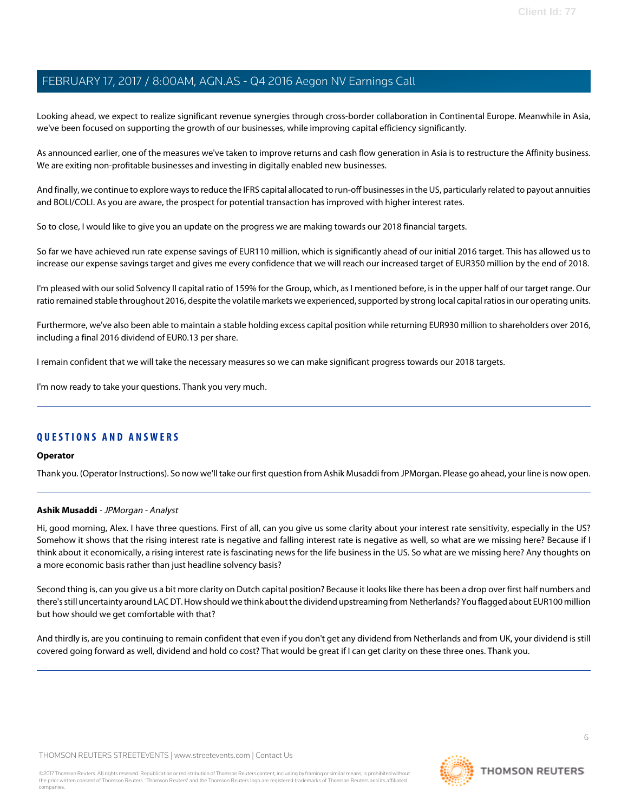Looking ahead, we expect to realize significant revenue synergies through cross-border collaboration in Continental Europe. Meanwhile in Asia, we've been focused on supporting the growth of our businesses, while improving capital efficiency significantly.

As announced earlier, one of the measures we've taken to improve returns and cash flow generation in Asia is to restructure the Affinity business. We are exiting non-profitable businesses and investing in digitally enabled new businesses.

And finally, we continue to explore ways to reduce the IFRS capital allocated to run-off businesses in the US, particularly related to payout annuities and BOLI/COLI. As you are aware, the prospect for potential transaction has improved with higher interest rates.

So to close, I would like to give you an update on the progress we are making towards our 2018 financial targets.

So far we have achieved run rate expense savings of EUR110 million, which is significantly ahead of our initial 2016 target. This has allowed us to increase our expense savings target and gives me every confidence that we will reach our increased target of EUR350 million by the end of 2018.

I'm pleased with our solid Solvency II capital ratio of 159% for the Group, which, as I mentioned before, is in the upper half of our target range. Our ratio remained stable throughout 2016, despite the volatile markets we experienced, supported by strong local capital ratios in our operating units.

Furthermore, we've also been able to maintain a stable holding excess capital position while returning EUR930 million to shareholders over 2016, including a final 2016 dividend of EUR0.13 per share.

I remain confident that we will take the necessary measures so we can make significant progress towards our 2018 targets.

I'm now ready to take your questions. Thank you very much.

### **QUESTIONS AND ANSWERS**

#### <span id="page-5-0"></span>**Operator**

Thank you. (Operator Instructions). So now we'll take our first question from Ashik Musaddi from JPMorgan. Please go ahead, your line is now open.

### **Ashik Musaddi** - JPMorgan - Analyst

Hi, good morning, Alex. I have three questions. First of all, can you give us some clarity about your interest rate sensitivity, especially in the US? Somehow it shows that the rising interest rate is negative and falling interest rate is negative as well, so what are we missing here? Because if I think about it economically, a rising interest rate is fascinating news for the life business in the US. So what are we missing here? Any thoughts on a more economic basis rather than just headline solvency basis?

Second thing is, can you give us a bit more clarity on Dutch capital position? Because it looks like there has been a drop over first half numbers and there's still uncertainty around LAC DT. How should we think about the dividend upstreaming from Netherlands? You flagged about EUR100 million but how should we get comfortable with that?

And thirdly is, are you continuing to remain confident that even if you don't get any dividend from Netherlands and from UK, your dividend is still covered going forward as well, dividend and hold co cost? That would be great if I can get clarity on these three ones. Thank you.

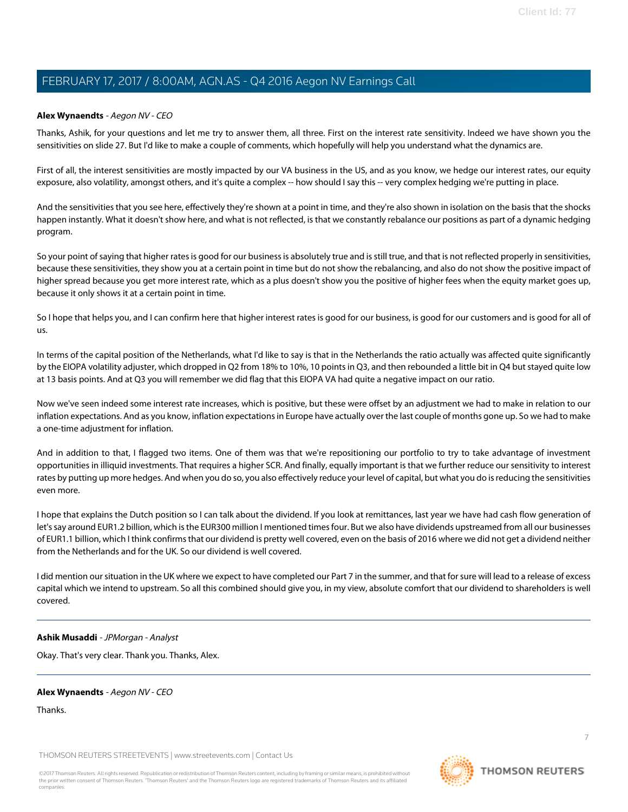#### **Alex Wynaendts** - Aegon NV - CEO

Thanks, Ashik, for your questions and let me try to answer them, all three. First on the interest rate sensitivity. Indeed we have shown you the sensitivities on slide 27. But I'd like to make a couple of comments, which hopefully will help you understand what the dynamics are.

First of all, the interest sensitivities are mostly impacted by our VA business in the US, and as you know, we hedge our interest rates, our equity exposure, also volatility, amongst others, and it's quite a complex -- how should I say this -- very complex hedging we're putting in place.

And the sensitivities that you see here, effectively they're shown at a point in time, and they're also shown in isolation on the basis that the shocks happen instantly. What it doesn't show here, and what is not reflected, is that we constantly rebalance our positions as part of a dynamic hedging program.

So your point of saying that higher rates is good for our business is absolutely true and is still true, and that is not reflected properly in sensitivities, because these sensitivities, they show you at a certain point in time but do not show the rebalancing, and also do not show the positive impact of higher spread because you get more interest rate, which as a plus doesn't show you the positive of higher fees when the equity market goes up, because it only shows it at a certain point in time.

So I hope that helps you, and I can confirm here that higher interest rates is good for our business, is good for our customers and is good for all of us.

In terms of the capital position of the Netherlands, what I'd like to say is that in the Netherlands the ratio actually was affected quite significantly by the EIOPA volatility adjuster, which dropped in Q2 from 18% to 10%, 10 points in Q3, and then rebounded a little bit in Q4 but stayed quite low at 13 basis points. And at Q3 you will remember we did flag that this EIOPA VA had quite a negative impact on our ratio.

Now we've seen indeed some interest rate increases, which is positive, but these were offset by an adjustment we had to make in relation to our inflation expectations. And as you know, inflation expectations in Europe have actually over the last couple of months gone up. So we had to make a one-time adjustment for inflation.

And in addition to that, I flagged two items. One of them was that we're repositioning our portfolio to try to take advantage of investment opportunities in illiquid investments. That requires a higher SCR. And finally, equally important is that we further reduce our sensitivity to interest rates by putting up more hedges. And when you do so, you also effectively reduce your level of capital, but what you do is reducing the sensitivities even more.

I hope that explains the Dutch position so I can talk about the dividend. If you look at remittances, last year we have had cash flow generation of let's say around EUR1.2 billion, which is the EUR300 million I mentioned times four. But we also have dividends upstreamed from all our businesses of EUR1.1 billion, which I think confirms that our dividend is pretty well covered, even on the basis of 2016 where we did not get a dividend neither from the Netherlands and for the UK. So our dividend is well covered.

I did mention our situation in the UK where we expect to have completed our Part 7 in the summer, and that for sure will lead to a release of excess capital which we intend to upstream. So all this combined should give you, in my view, absolute comfort that our dividend to shareholders is well covered.

#### **Ashik Musaddi** - JPMorgan - Analyst

Okay. That's very clear. Thank you. Thanks, Alex.

#### **Alex Wynaendts** - Aegon NV - CEO

Thanks.

THOMSON REUTERS STREETEVENTS | [www.streetevents.com](http://www.streetevents.com) | [Contact Us](http://www010.streetevents.com/contact.asp)

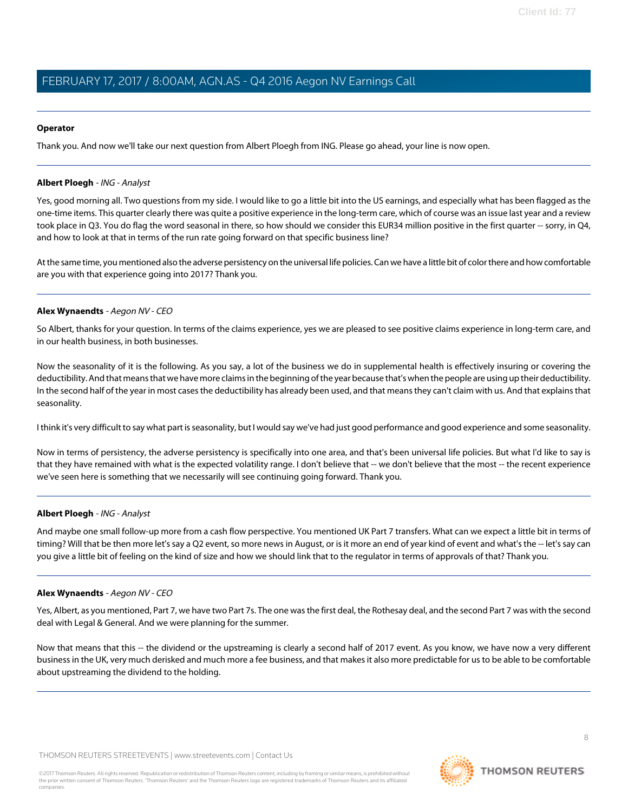#### **Operator**

<span id="page-7-0"></span>Thank you. And now we'll take our next question from Albert Ploegh from ING. Please go ahead, your line is now open.

#### **Albert Ploegh** - ING - Analyst

Yes, good morning all. Two questions from my side. I would like to go a little bit into the US earnings, and especially what has been flagged as the one-time items. This quarter clearly there was quite a positive experience in the long-term care, which of course was an issue last year and a review took place in Q3. You do flag the word seasonal in there, so how should we consider this EUR34 million positive in the first quarter -- sorry, in Q4, and how to look at that in terms of the run rate going forward on that specific business line?

At the same time, you mentioned also the adverse persistency on the universal life policies. Can we have a little bit of color there and how comfortable are you with that experience going into 2017? Thank you.

#### **Alex Wynaendts** - Aegon NV - CEO

So Albert, thanks for your question. In terms of the claims experience, yes we are pleased to see positive claims experience in long-term care, and in our health business, in both businesses.

Now the seasonality of it is the following. As you say, a lot of the business we do in supplemental health is effectively insuring or covering the deductibility. And that means that we have more claims in the beginning of the year because that's when the people are using up their deductibility. In the second half of the year in most cases the deductibility has already been used, and that means they can't claim with us. And that explains that seasonality.

I think it's very difficult to say what part is seasonality, but I would say we've had just good performance and good experience and some seasonality.

Now in terms of persistency, the adverse persistency is specifically into one area, and that's been universal life policies. But what I'd like to say is that they have remained with what is the expected volatility range. I don't believe that -- we don't believe that the most -- the recent experience we've seen here is something that we necessarily will see continuing going forward. Thank you.

#### **Albert Ploegh** - ING - Analyst

And maybe one small follow-up more from a cash flow perspective. You mentioned UK Part 7 transfers. What can we expect a little bit in terms of timing? Will that be then more let's say a Q2 event, so more news in August, or is it more an end of year kind of event and what's the -- let's say can you give a little bit of feeling on the kind of size and how we should link that to the regulator in terms of approvals of that? Thank you.

#### **Alex Wynaendts** - Aegon NV - CEO

Yes, Albert, as you mentioned, Part 7, we have two Part 7s. The one was the first deal, the Rothesay deal, and the second Part 7 was with the second deal with Legal & General. And we were planning for the summer.

Now that means that this -- the dividend or the upstreaming is clearly a second half of 2017 event. As you know, we have now a very different business in the UK, very much derisked and much more a fee business, and that makes it also more predictable for us to be able to be comfortable about upstreaming the dividend to the holding.

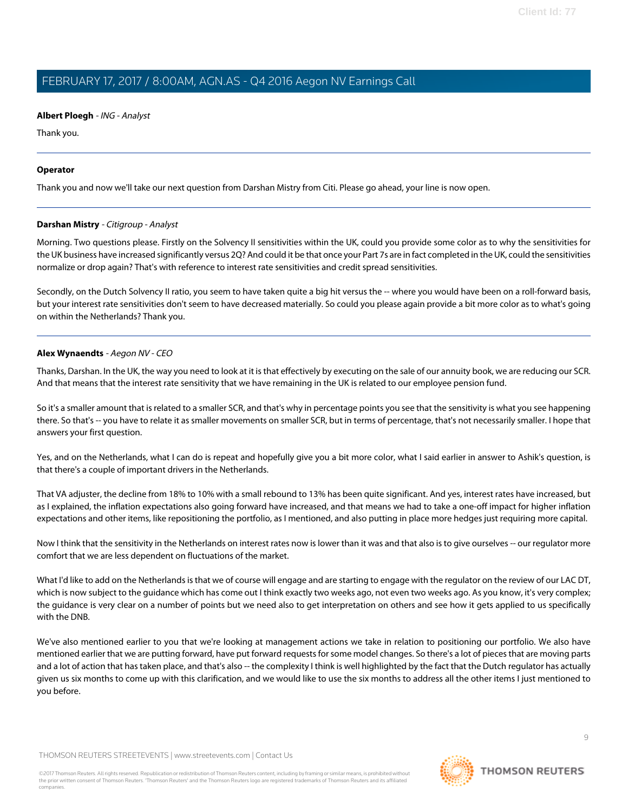#### **Albert Ploegh** - ING - Analyst

Thank you.

#### **Operator**

<span id="page-8-0"></span>Thank you and now we'll take our next question from Darshan Mistry from Citi. Please go ahead, your line is now open.

#### **Darshan Mistry** - Citigroup - Analyst

Morning. Two questions please. Firstly on the Solvency II sensitivities within the UK, could you provide some color as to why the sensitivities for the UK business have increased significantly versus 2Q? And could it be that once your Part 7s are in fact completed in the UK, could the sensitivities normalize or drop again? That's with reference to interest rate sensitivities and credit spread sensitivities.

Secondly, on the Dutch Solvency II ratio, you seem to have taken quite a big hit versus the -- where you would have been on a roll-forward basis, but your interest rate sensitivities don't seem to have decreased materially. So could you please again provide a bit more color as to what's going on within the Netherlands? Thank you.

#### **Alex Wynaendts** - Aegon NV - CEO

Thanks, Darshan. In the UK, the way you need to look at it is that effectively by executing on the sale of our annuity book, we are reducing our SCR. And that means that the interest rate sensitivity that we have remaining in the UK is related to our employee pension fund.

So it's a smaller amount that is related to a smaller SCR, and that's why in percentage points you see that the sensitivity is what you see happening there. So that's -- you have to relate it as smaller movements on smaller SCR, but in terms of percentage, that's not necessarily smaller. I hope that answers your first question.

Yes, and on the Netherlands, what I can do is repeat and hopefully give you a bit more color, what I said earlier in answer to Ashik's question, is that there's a couple of important drivers in the Netherlands.

That VA adjuster, the decline from 18% to 10% with a small rebound to 13% has been quite significant. And yes, interest rates have increased, but as I explained, the inflation expectations also going forward have increased, and that means we had to take a one-off impact for higher inflation expectations and other items, like repositioning the portfolio, as I mentioned, and also putting in place more hedges just requiring more capital.

Now I think that the sensitivity in the Netherlands on interest rates now is lower than it was and that also is to give ourselves -- our regulator more comfort that we are less dependent on fluctuations of the market.

What I'd like to add on the Netherlands is that we of course will engage and are starting to engage with the regulator on the review of our LAC DT, which is now subject to the guidance which has come out I think exactly two weeks ago, not even two weeks ago. As you know, it's very complex; the guidance is very clear on a number of points but we need also to get interpretation on others and see how it gets applied to us specifically with the DNB.

We've also mentioned earlier to you that we're looking at management actions we take in relation to positioning our portfolio. We also have mentioned earlier that we are putting forward, have put forward requests for some model changes. So there's a lot of pieces that are moving parts and a lot of action that has taken place, and that's also -- the complexity I think is well highlighted by the fact that the Dutch regulator has actually given us six months to come up with this clarification, and we would like to use the six months to address all the other items I just mentioned to you before.

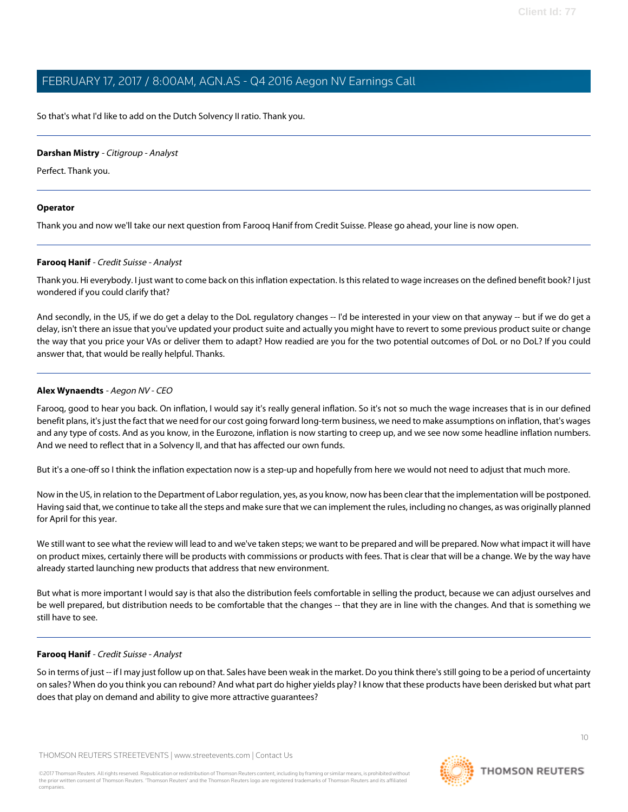So that's what I'd like to add on the Dutch Solvency II ratio. Thank you.

#### **Darshan Mistry** - Citigroup - Analyst

Perfect. Thank you.

#### **Operator**

<span id="page-9-0"></span>Thank you and now we'll take our next question from Farooq Hanif from Credit Suisse. Please go ahead, your line is now open.

#### **Farooq Hanif** - Credit Suisse - Analyst

Thank you. Hi everybody. I just want to come back on this inflation expectation. Is this related to wage increases on the defined benefit book? I just wondered if you could clarify that?

And secondly, in the US, if we do get a delay to the DoL regulatory changes -- I'd be interested in your view on that anyway -- but if we do get a delay, isn't there an issue that you've updated your product suite and actually you might have to revert to some previous product suite or change the way that you price your VAs or deliver them to adapt? How readied are you for the two potential outcomes of DoL or no DoL? If you could answer that, that would be really helpful. Thanks.

#### **Alex Wynaendts** - Aegon NV - CEO

Farooq, good to hear you back. On inflation, I would say it's really general inflation. So it's not so much the wage increases that is in our defined benefit plans, it's just the fact that we need for our cost going forward long-term business, we need to make assumptions on inflation, that's wages and any type of costs. And as you know, in the Eurozone, inflation is now starting to creep up, and we see now some headline inflation numbers. And we need to reflect that in a Solvency II, and that has affected our own funds.

But it's a one-off so I think the inflation expectation now is a step-up and hopefully from here we would not need to adjust that much more.

Now in the US, in relation to the Department of Labor regulation, yes, as you know, now has been clear that the implementation will be postponed. Having said that, we continue to take all the steps and make sure that we can implement the rules, including no changes, as was originally planned for April for this year.

We still want to see what the review will lead to and we've taken steps; we want to be prepared and will be prepared. Now what impact it will have on product mixes, certainly there will be products with commissions or products with fees. That is clear that will be a change. We by the way have already started launching new products that address that new environment.

But what is more important I would say is that also the distribution feels comfortable in selling the product, because we can adjust ourselves and be well prepared, but distribution needs to be comfortable that the changes -- that they are in line with the changes. And that is something we still have to see.

### **Farooq Hanif** - Credit Suisse - Analyst

So in terms of just -- if I may just follow up on that. Sales have been weak in the market. Do you think there's still going to be a period of uncertainty on sales? When do you think you can rebound? And what part do higher yields play? I know that these products have been derisked but what part does that play on demand and ability to give more attractive guarantees?



**THOMSON REUTERS**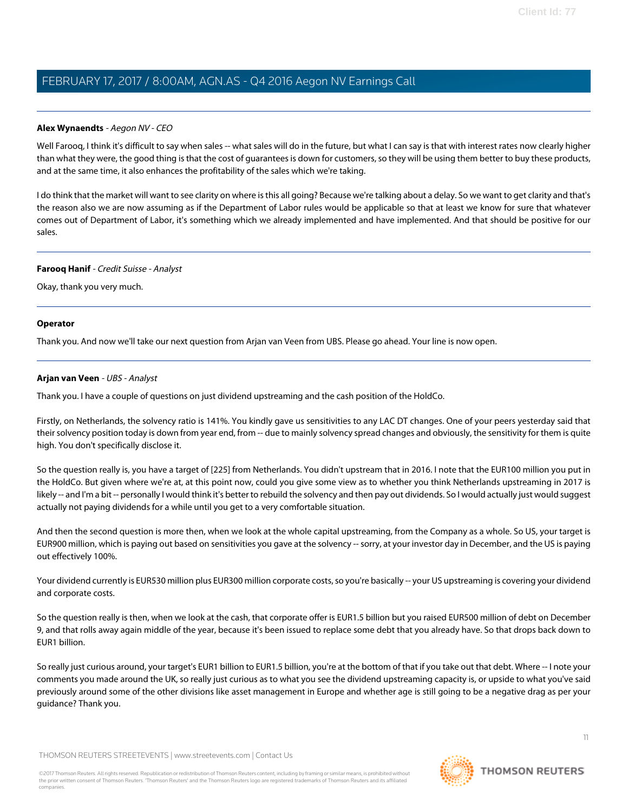#### **Alex Wynaendts** - Aegon NV - CEO

Well Farooq, I think it's difficult to say when sales -- what sales will do in the future, but what I can say is that with interest rates now clearly higher than what they were, the good thing is that the cost of guarantees is down for customers, so they will be using them better to buy these products, and at the same time, it also enhances the profitability of the sales which we're taking.

I do think that the market will want to see clarity on where is this all going? Because we're talking about a delay. So we want to get clarity and that's the reason also we are now assuming as if the Department of Labor rules would be applicable so that at least we know for sure that whatever comes out of Department of Labor, it's something which we already implemented and have implemented. And that should be positive for our sales.

#### **Farooq Hanif** - Credit Suisse - Analyst

Okay, thank you very much.

#### **Operator**

<span id="page-10-0"></span>Thank you. And now we'll take our next question from Arjan van Veen from UBS. Please go ahead. Your line is now open.

#### **Arjan van Veen** - UBS - Analyst

Thank you. I have a couple of questions on just dividend upstreaming and the cash position of the HoldCo.

Firstly, on Netherlands, the solvency ratio is 141%. You kindly gave us sensitivities to any LAC DT changes. One of your peers yesterday said that their solvency position today is down from year end, from -- due to mainly solvency spread changes and obviously, the sensitivity for them is quite high. You don't specifically disclose it.

So the question really is, you have a target of [225] from Netherlands. You didn't upstream that in 2016. I note that the EUR100 million you put in the HoldCo. But given where we're at, at this point now, could you give some view as to whether you think Netherlands upstreaming in 2017 is likely -- and I'm a bit -- personally I would think it's better to rebuild the solvency and then pay out dividends. So I would actually just would suggest actually not paying dividends for a while until you get to a very comfortable situation.

And then the second question is more then, when we look at the whole capital upstreaming, from the Company as a whole. So US, your target is EUR900 million, which is paying out based on sensitivities you gave at the solvency -- sorry, at your investor day in December, and the US is paying out effectively 100%.

Your dividend currently is EUR530 million plus EUR300 million corporate costs, so you're basically -- your US upstreaming is covering your dividend and corporate costs.

So the question really is then, when we look at the cash, that corporate offer is EUR1.5 billion but you raised EUR500 million of debt on December 9, and that rolls away again middle of the year, because it's been issued to replace some debt that you already have. So that drops back down to EUR1 billion.

So really just curious around, your target's EUR1 billion to EUR1.5 billion, you're at the bottom of that if you take out that debt. Where -- I note your comments you made around the UK, so really just curious as to what you see the dividend upstreaming capacity is, or upside to what you've said previously around some of the other divisions like asset management in Europe and whether age is still going to be a negative drag as per your guidance? Thank you.

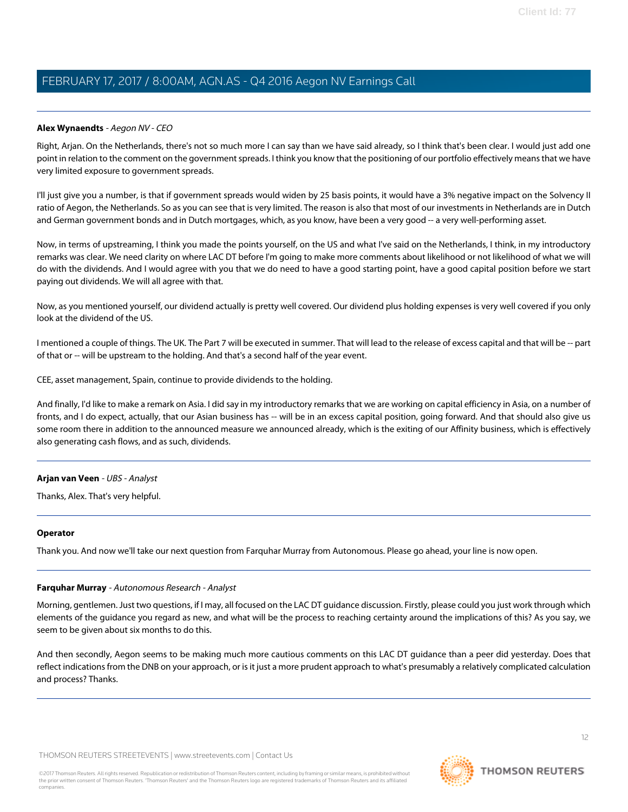#### **Alex Wynaendts** - Aegon NV - CEO

Right, Arjan. On the Netherlands, there's not so much more I can say than we have said already, so I think that's been clear. I would just add one point in relation to the comment on the government spreads. I think you know that the positioning of our portfolio effectively means that we have very limited exposure to government spreads.

I'll just give you a number, is that if government spreads would widen by 25 basis points, it would have a 3% negative impact on the Solvency II ratio of Aegon, the Netherlands. So as you can see that is very limited. The reason is also that most of our investments in Netherlands are in Dutch and German government bonds and in Dutch mortgages, which, as you know, have been a very good -- a very well-performing asset.

Now, in terms of upstreaming, I think you made the points yourself, on the US and what I've said on the Netherlands, I think, in my introductory remarks was clear. We need clarity on where LAC DT before I'm going to make more comments about likelihood or not likelihood of what we will do with the dividends. And I would agree with you that we do need to have a good starting point, have a good capital position before we start paying out dividends. We will all agree with that.

Now, as you mentioned yourself, our dividend actually is pretty well covered. Our dividend plus holding expenses is very well covered if you only look at the dividend of the US.

I mentioned a couple of things. The UK. The Part 7 will be executed in summer. That will lead to the release of excess capital and that will be -- part of that or -- will be upstream to the holding. And that's a second half of the year event.

CEE, asset management, Spain, continue to provide dividends to the holding.

And finally, I'd like to make a remark on Asia. I did say in my introductory remarks that we are working on capital efficiency in Asia, on a number of fronts, and I do expect, actually, that our Asian business has -- will be in an excess capital position, going forward. And that should also give us some room there in addition to the announced measure we announced already, which is the exiting of our Affinity business, which is effectively also generating cash flows, and as such, dividends.

#### **Arjan van Veen** - UBS - Analyst

Thanks, Alex. That's very helpful.

#### <span id="page-11-0"></span>**Operator**

Thank you. And now we'll take our next question from Farquhar Murray from Autonomous. Please go ahead, your line is now open.

### **Farquhar Murray** - Autonomous Research - Analyst

Morning, gentlemen. Just two questions, if I may, all focused on the LAC DT guidance discussion. Firstly, please could you just work through which elements of the guidance you regard as new, and what will be the process to reaching certainty around the implications of this? As you say, we seem to be given about six months to do this.

And then secondly, Aegon seems to be making much more cautious comments on this LAC DT guidance than a peer did yesterday. Does that reflect indications from the DNB on your approach, or is it just a more prudent approach to what's presumably a relatively complicated calculation and process? Thanks.

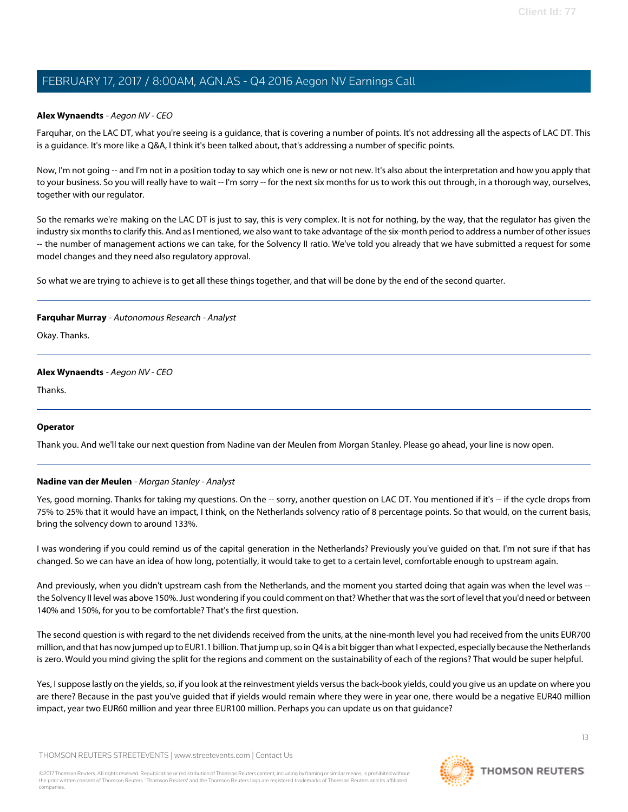### **Alex Wynaendts** - Aegon NV - CEO

Farquhar, on the LAC DT, what you're seeing is a guidance, that is covering a number of points. It's not addressing all the aspects of LAC DT. This is a guidance. It's more like a Q&A, I think it's been talked about, that's addressing a number of specific points.

Now, I'm not going -- and I'm not in a position today to say which one is new or not new. It's also about the interpretation and how you apply that to your business. So you will really have to wait -- I'm sorry -- for the next six months for us to work this out through, in a thorough way, ourselves, together with our regulator.

So the remarks we're making on the LAC DT is just to say, this is very complex. It is not for nothing, by the way, that the regulator has given the industry six months to clarify this. And as I mentioned, we also want to take advantage of the six-month period to address a number of other issues -- the number of management actions we can take, for the Solvency II ratio. We've told you already that we have submitted a request for some model changes and they need also regulatory approval.

So what we are trying to achieve is to get all these things together, and that will be done by the end of the second quarter.

#### **Farquhar Murray** - Autonomous Research - Analyst

Okay. Thanks.

### **Alex Wynaendts** - Aegon NV - CEO

Thanks.

### <span id="page-12-0"></span>**Operator**

Thank you. And we'll take our next question from Nadine van der Meulen from Morgan Stanley. Please go ahead, your line is now open.

#### **Nadine van der Meulen** - Morgan Stanley - Analyst

Yes, good morning. Thanks for taking my questions. On the -- sorry, another question on LAC DT. You mentioned if it's -- if the cycle drops from 75% to 25% that it would have an impact, I think, on the Netherlands solvency ratio of 8 percentage points. So that would, on the current basis, bring the solvency down to around 133%.

I was wondering if you could remind us of the capital generation in the Netherlands? Previously you've guided on that. I'm not sure if that has changed. So we can have an idea of how long, potentially, it would take to get to a certain level, comfortable enough to upstream again.

And previously, when you didn't upstream cash from the Netherlands, and the moment you started doing that again was when the level was -the Solvency II level was above 150%. Just wondering if you could comment on that? Whether that was the sort of level that you'd need or between 140% and 150%, for you to be comfortable? That's the first question.

The second question is with regard to the net dividends received from the units, at the nine-month level you had received from the units EUR700 million, and that has now jumped up to EUR1.1 billion. That jump up, so in Q4 is a bit bigger than what I expected, especially because the Netherlands is zero. Would you mind giving the split for the regions and comment on the sustainability of each of the regions? That would be super helpful.

Yes, I suppose lastly on the yields, so, if you look at the reinvestment yields versus the back-book yields, could you give us an update on where you are there? Because in the past you've guided that if yields would remain where they were in year one, there would be a negative EUR40 million impact, year two EUR60 million and year three EUR100 million. Perhaps you can update us on that guidance?

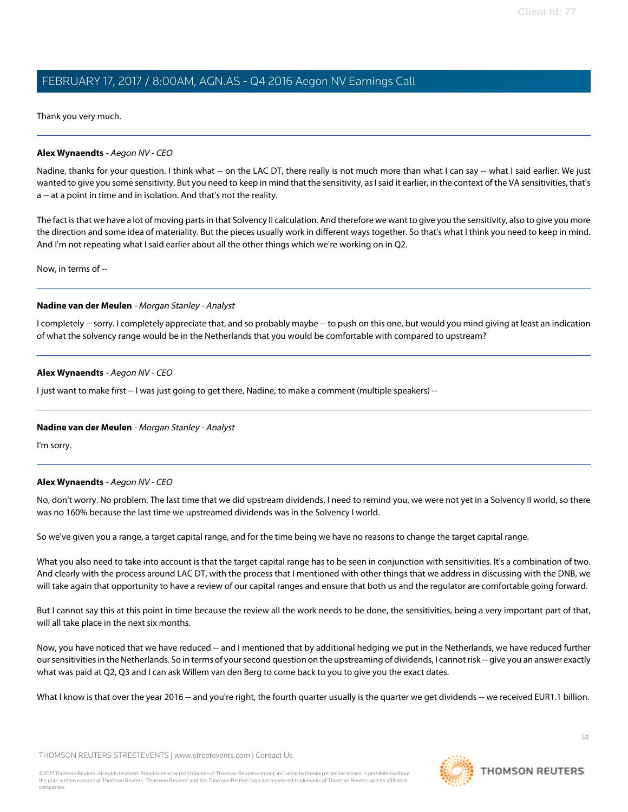Thank you very much.

#### **Alex Wynaendts** - Aegon NV - CEO

Nadine, thanks for your question. I think what -- on the LAC DT, there really is not much more than what I can say -- what I said earlier. We just wanted to give you some sensitivity. But you need to keep in mind that the sensitivity, as I said it earlier, in the context of the VA sensitivities, that's a -- at a point in time and in isolation. And that's not the reality.

The fact is that we have a lot of moving parts in that Solvency II calculation. And therefore we want to give you the sensitivity, also to give you more the direction and some idea of materiality. But the pieces usually work in different ways together. So that's what I think you need to keep in mind. And I'm not repeating what I said earlier about all the other things which we're working on in Q2.

Now, in terms of --

#### **Nadine van der Meulen** - Morgan Stanley - Analyst

I completely -- sorry. I completely appreciate that, and so probably maybe -- to push on this one, but would you mind giving at least an indication of what the solvency range would be in the Netherlands that you would be comfortable with compared to upstream?

#### **Alex Wynaendts** - Aegon NV - CEO

I just want to make first -- I was just going to get there, Nadine, to make a comment (multiple speakers) --

#### **Nadine van der Meulen** - Morgan Stanley - Analyst

I'm sorry.

### **Alex Wynaendts** - Aegon NV - CEO

No, don't worry. No problem. The last time that we did upstream dividends, I need to remind you, we were not yet in a Solvency II world, so there was no 160% because the last time we upstreamed dividends was in the Solvency I world.

So we've given you a range, a target capital range, and for the time being we have no reasons to change the target capital range.

What you also need to take into account is that the target capital range has to be seen in conjunction with sensitivities. It's a combination of two. And clearly with the process around LAC DT, with the process that I mentioned with other things that we address in discussing with the DNB, we will take again that opportunity to have a review of our capital ranges and ensure that both us and the regulator are comfortable going forward.

But I cannot say this at this point in time because the review all the work needs to be done, the sensitivities, being a very important part of that, will all take place in the next six months.

Now, you have noticed that we have reduced -- and I mentioned that by additional hedging we put in the Netherlands, we have reduced further our sensitivities in the Netherlands. So in terms of your second question on the upstreaming of dividends, I cannot risk -- give you an answer exactly what was paid at Q2, Q3 and I can ask Willem van den Berg to come back to you to give you the exact dates.

What I know is that over the year 2016 -- and you're right, the fourth quarter usually is the quarter we get dividends -- we received EUR1.1 billion.

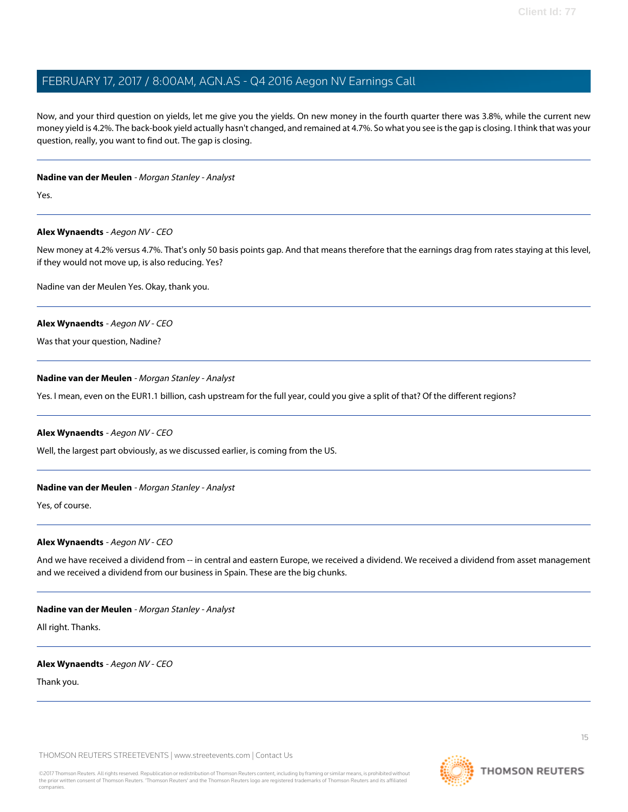Now, and your third question on yields, let me give you the yields. On new money in the fourth quarter there was 3.8%, while the current new money yield is 4.2%. The back-book yield actually hasn't changed, and remained at 4.7%. So what you see is the gap is closing. I think that was your question, really, you want to find out. The gap is closing.

#### **Nadine van der Meulen** - Morgan Stanley - Analyst

Yes.

#### **Alex Wynaendts** - Aegon NV - CEO

New money at 4.2% versus 4.7%. That's only 50 basis points gap. And that means therefore that the earnings drag from rates staying at this level, if they would not move up, is also reducing. Yes?

Nadine van der Meulen Yes. Okay, thank you.

#### **Alex Wynaendts** - Aegon NV - CEO

Was that your question, Nadine?

#### **Nadine van der Meulen** - Morgan Stanley - Analyst

Yes. I mean, even on the EUR1.1 billion, cash upstream for the full year, could you give a split of that? Of the different regions?

#### **Alex Wynaendts** - Aegon NV - CEO

Well, the largest part obviously, as we discussed earlier, is coming from the US.

### **Nadine van der Meulen** - Morgan Stanley - Analyst

Yes, of course.

#### **Alex Wynaendts** - Aegon NV - CEO

And we have received a dividend from -- in central and eastern Europe, we received a dividend. We received a dividend from asset management and we received a dividend from our business in Spain. These are the big chunks.

#### **Nadine van der Meulen** - Morgan Stanley - Analyst

All right. Thanks.

#### **Alex Wynaendts** - Aegon NV - CEO

Thank you.

THOMSON REUTERS STREETEVENTS | [www.streetevents.com](http://www.streetevents.com) | [Contact Us](http://www010.streetevents.com/contact.asp)

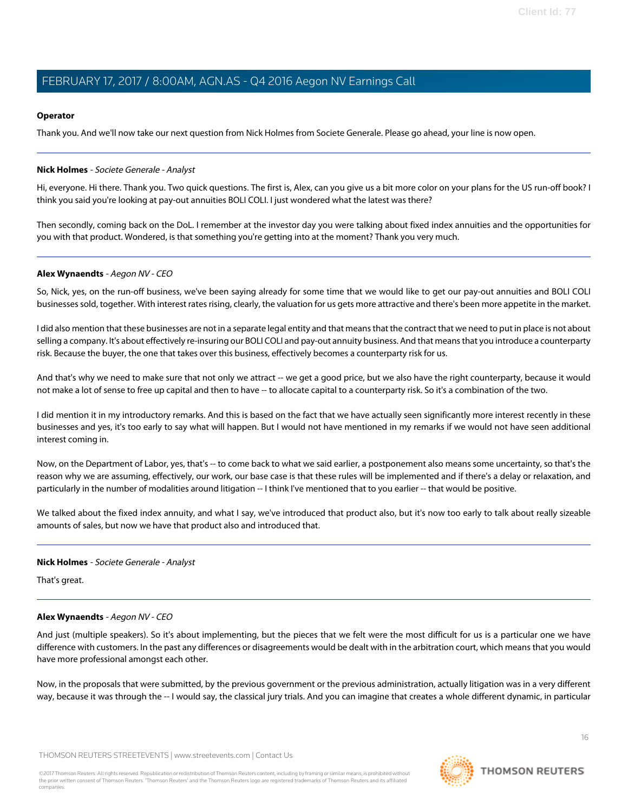#### **Operator**

Thank you. And we'll now take our next question from Nick Holmes from Societe Generale. Please go ahead, your line is now open.

#### <span id="page-15-0"></span>**Nick Holmes** - Societe Generale - Analyst

Hi, everyone. Hi there. Thank you. Two quick questions. The first is, Alex, can you give us a bit more color on your plans for the US run-off book? I think you said you're looking at pay-out annuities BOLI COLI. I just wondered what the latest was there?

Then secondly, coming back on the DoL. I remember at the investor day you were talking about fixed index annuities and the opportunities for you with that product. Wondered, is that something you're getting into at the moment? Thank you very much.

#### **Alex Wynaendts** - Aegon NV - CEO

So, Nick, yes, on the run-off business, we've been saying already for some time that we would like to get our pay-out annuities and BOLI COLI businesses sold, together. With interest rates rising, clearly, the valuation for us gets more attractive and there's been more appetite in the market.

I did also mention that these businesses are not in a separate legal entity and that means that the contract that we need to put in place is not about selling a company. It's about effectively re-insuring our BOLI COLI and pay-out annuity business. And that means that you introduce a counterparty risk. Because the buyer, the one that takes over this business, effectively becomes a counterparty risk for us.

And that's why we need to make sure that not only we attract -- we get a good price, but we also have the right counterparty, because it would not make a lot of sense to free up capital and then to have -- to allocate capital to a counterparty risk. So it's a combination of the two.

I did mention it in my introductory remarks. And this is based on the fact that we have actually seen significantly more interest recently in these businesses and yes, it's too early to say what will happen. But I would not have mentioned in my remarks if we would not have seen additional interest coming in.

Now, on the Department of Labor, yes, that's -- to come back to what we said earlier, a postponement also means some uncertainty, so that's the reason why we are assuming, effectively, our work, our base case is that these rules will be implemented and if there's a delay or relaxation, and particularly in the number of modalities around litigation -- I think I've mentioned that to you earlier -- that would be positive.

We talked about the fixed index annuity, and what I say, we've introduced that product also, but it's now too early to talk about really sizeable amounts of sales, but now we have that product also and introduced that.

#### **Nick Holmes** - Societe Generale - Analyst

That's great.

#### **Alex Wynaendts** - Aegon NV - CEO

And just (multiple speakers). So it's about implementing, but the pieces that we felt were the most difficult for us is a particular one we have difference with customers. In the past any differences or disagreements would be dealt with in the arbitration court, which means that you would have more professional amongst each other.

Now, in the proposals that were submitted, by the previous government or the previous administration, actually litigation was in a very different way, because it was through the -- I would say, the classical jury trials. And you can imagine that creates a whole different dynamic, in particular

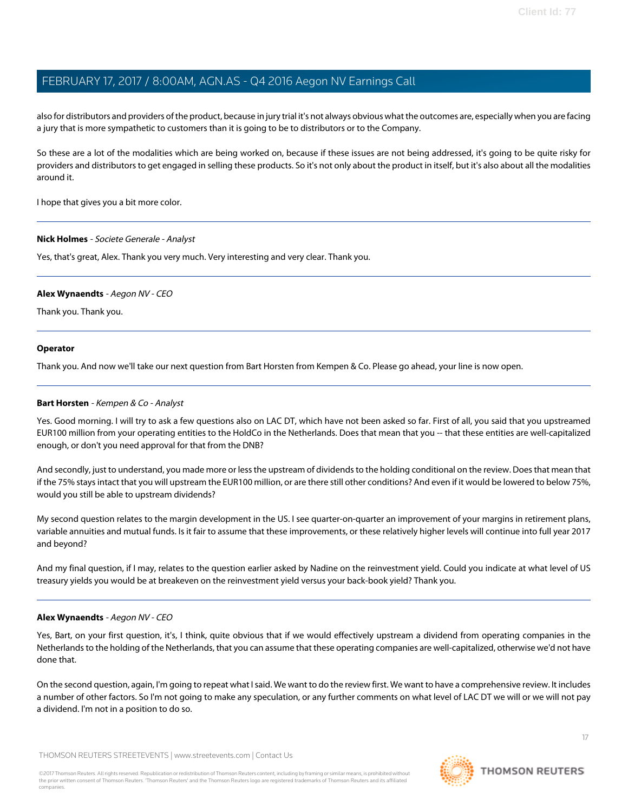also for distributors and providers of the product, because in jury trial it's not always obvious what the outcomes are, especially when you are facing a jury that is more sympathetic to customers than it is going to be to distributors or to the Company.

So these are a lot of the modalities which are being worked on, because if these issues are not being addressed, it's going to be quite risky for providers and distributors to get engaged in selling these products. So it's not only about the product in itself, but it's also about all the modalities around it.

I hope that gives you a bit more color.

#### **Nick Holmes** - Societe Generale - Analyst

Yes, that's great, Alex. Thank you very much. Very interesting and very clear. Thank you.

#### **Alex Wynaendts** - Aegon NV - CEO

Thank you. Thank you.

#### **Operator**

<span id="page-16-0"></span>Thank you. And now we'll take our next question from Bart Horsten from Kempen & Co. Please go ahead, your line is now open.

#### **Bart Horsten** - Kempen & Co - Analyst

Yes. Good morning. I will try to ask a few questions also on LAC DT, which have not been asked so far. First of all, you said that you upstreamed EUR100 million from your operating entities to the HoldCo in the Netherlands. Does that mean that you -- that these entities are well-capitalized enough, or don't you need approval for that from the DNB?

And secondly, just to understand, you made more or less the upstream of dividends to the holding conditional on the review. Does that mean that if the 75% stays intact that you will upstream the EUR100 million, or are there still other conditions? And even if it would be lowered to below 75%, would you still be able to upstream dividends?

My second question relates to the margin development in the US. I see quarter-on-quarter an improvement of your margins in retirement plans, variable annuities and mutual funds. Is it fair to assume that these improvements, or these relatively higher levels will continue into full year 2017 and beyond?

And my final question, if I may, relates to the question earlier asked by Nadine on the reinvestment yield. Could you indicate at what level of US treasury yields you would be at breakeven on the reinvestment yield versus your back-book yield? Thank you.

### **Alex Wynaendts** - Aegon NV - CEO

Yes, Bart, on your first question, it's, I think, quite obvious that if we would effectively upstream a dividend from operating companies in the Netherlands to the holding of the Netherlands, that you can assume that these operating companies are well-capitalized, otherwise we'd not have done that.

On the second question, again, I'm going to repeat what I said. We want to do the review first. We want to have a comprehensive review. It includes a number of other factors. So I'm not going to make any speculation, or any further comments on what level of LAC DT we will or we will not pay a dividend. I'm not in a position to do so.



17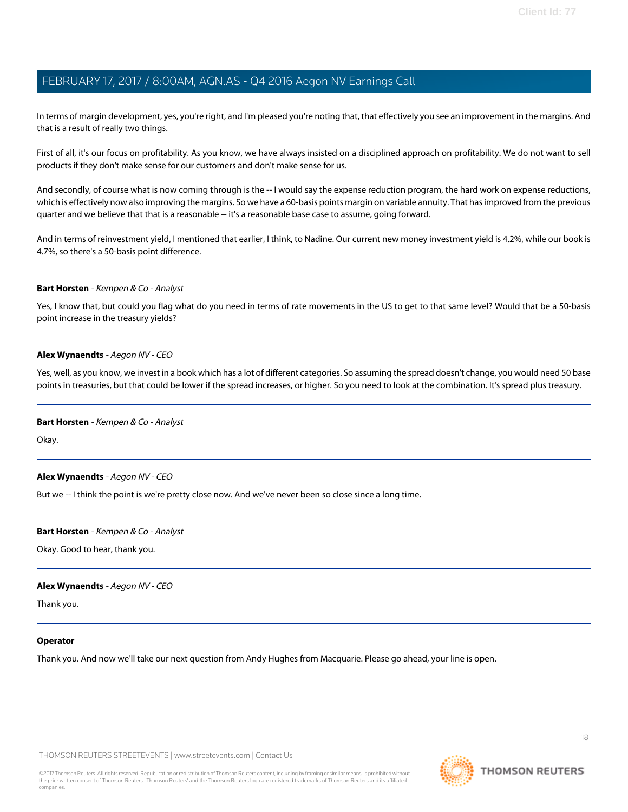In terms of margin development, yes, you're right, and I'm pleased you're noting that, that effectively you see an improvement in the margins. And that is a result of really two things.

First of all, it's our focus on profitability. As you know, we have always insisted on a disciplined approach on profitability. We do not want to sell products if they don't make sense for our customers and don't make sense for us.

And secondly, of course what is now coming through is the -- I would say the expense reduction program, the hard work on expense reductions, which is effectively now also improving the margins. So we have a 60-basis points margin on variable annuity. That has improved from the previous quarter and we believe that that is a reasonable -- it's a reasonable base case to assume, going forward.

And in terms of reinvestment yield, I mentioned that earlier, I think, to Nadine. Our current new money investment yield is 4.2%, while our book is 4.7%, so there's a 50-basis point difference.

#### **Bart Horsten** - Kempen & Co - Analyst

Yes, I know that, but could you flag what do you need in terms of rate movements in the US to get to that same level? Would that be a 50-basis point increase in the treasury yields?

#### **Alex Wynaendts** - Aegon NV - CEO

Yes, well, as you know, we invest in a book which has a lot of different categories. So assuming the spread doesn't change, you would need 50 base points in treasuries, but that could be lower if the spread increases, or higher. So you need to look at the combination. It's spread plus treasury.

#### **Bart Horsten** - Kempen & Co - Analyst

Okay.

#### **Alex Wynaendts** - Aegon NV - CEO

But we -- I think the point is we're pretty close now. And we've never been so close since a long time.

#### **Bart Horsten** - Kempen & Co - Analyst

Okay. Good to hear, thank you.

#### **Alex Wynaendts** - Aegon NV - CEO

Thank you.

#### **Operator**

Thank you. And now we'll take our next question from Andy Hughes from Macquarie. Please go ahead, your line is open.

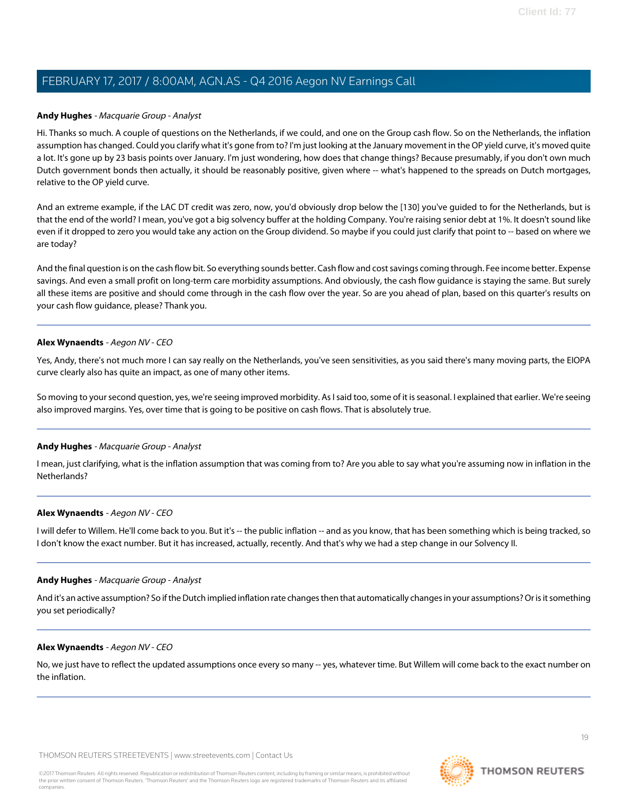#### <span id="page-18-0"></span>**Andy Hughes** - Macquarie Group - Analyst

Hi. Thanks so much. A couple of questions on the Netherlands, if we could, and one on the Group cash flow. So on the Netherlands, the inflation assumption has changed. Could you clarify what it's gone from to? I'm just looking at the January movement in the OP yield curve, it's moved quite a lot. It's gone up by 23 basis points over January. I'm just wondering, how does that change things? Because presumably, if you don't own much Dutch government bonds then actually, it should be reasonably positive, given where -- what's happened to the spreads on Dutch mortgages, relative to the OP yield curve.

And an extreme example, if the LAC DT credit was zero, now, you'd obviously drop below the [130] you've guided to for the Netherlands, but is that the end of the world? I mean, you've got a big solvency buffer at the holding Company. You're raising senior debt at 1%. It doesn't sound like even if it dropped to zero you would take any action on the Group dividend. So maybe if you could just clarify that point to -- based on where we are today?

And the final question is on the cash flow bit. So everything sounds better. Cash flow and cost savings coming through. Fee income better. Expense savings. And even a small profit on long-term care morbidity assumptions. And obviously, the cash flow guidance is staying the same. But surely all these items are positive and should come through in the cash flow over the year. So are you ahead of plan, based on this quarter's results on your cash flow guidance, please? Thank you.

#### **Alex Wynaendts** - Aegon NV - CEO

Yes, Andy, there's not much more I can say really on the Netherlands, you've seen sensitivities, as you said there's many moving parts, the EIOPA curve clearly also has quite an impact, as one of many other items.

So moving to your second question, yes, we're seeing improved morbidity. As I said too, some of it is seasonal. I explained that earlier. We're seeing also improved margins. Yes, over time that is going to be positive on cash flows. That is absolutely true.

### **Andy Hughes** - Macquarie Group - Analyst

I mean, just clarifying, what is the inflation assumption that was coming from to? Are you able to say what you're assuming now in inflation in the Netherlands?

#### **Alex Wynaendts** - Aegon NV - CEO

I will defer to Willem. He'll come back to you. But it's -- the public inflation -- and as you know, that has been something which is being tracked, so I don't know the exact number. But it has increased, actually, recently. And that's why we had a step change in our Solvency II.

#### **Andy Hughes** - Macquarie Group - Analyst

And it's an active assumption? So if the Dutch implied inflation rate changes then that automatically changes in your assumptions? Or is it something you set periodically?

#### **Alex Wynaendts** - Aegon NV - CEO

No, we just have to reflect the updated assumptions once every so many -- yes, whatever time. But Willem will come back to the exact number on the inflation.

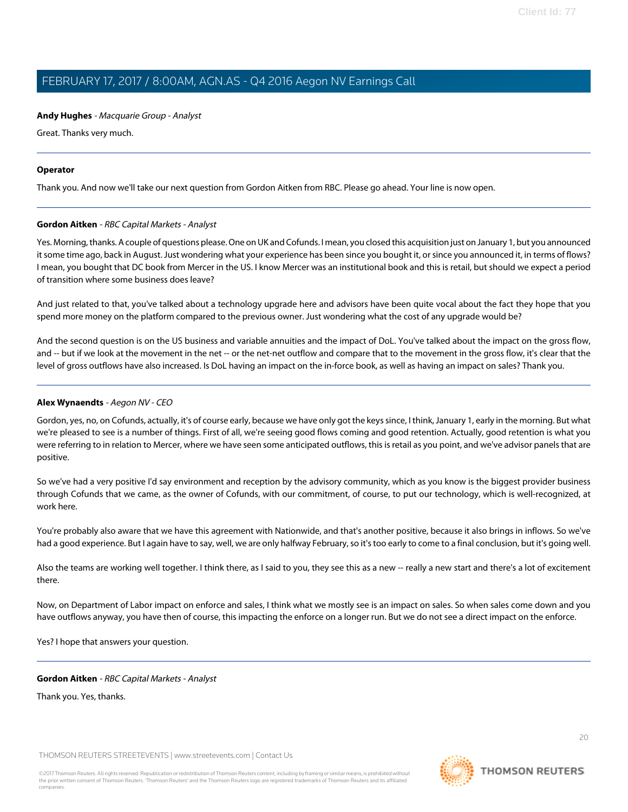#### **Andy Hughes** - Macquarie Group - Analyst

Great. Thanks very much.

#### **Operator**

<span id="page-19-0"></span>Thank you. And now we'll take our next question from Gordon Aitken from RBC. Please go ahead. Your line is now open.

#### **Gordon Aitken** - RBC Capital Markets - Analyst

Yes. Morning, thanks. A couple of questions please. One on UK and Cofunds. I mean, you closed this acquisition just on January 1, but you announced it some time ago, back in August. Just wondering what your experience has been since you bought it, or since you announced it, in terms of flows? I mean, you bought that DC book from Mercer in the US. I know Mercer was an institutional book and this is retail, but should we expect a period of transition where some business does leave?

And just related to that, you've talked about a technology upgrade here and advisors have been quite vocal about the fact they hope that you spend more money on the platform compared to the previous owner. Just wondering what the cost of any upgrade would be?

And the second question is on the US business and variable annuities and the impact of DoL. You've talked about the impact on the gross flow, and -- but if we look at the movement in the net -- or the net-net outflow and compare that to the movement in the gross flow, it's clear that the level of gross outflows have also increased. Is DoL having an impact on the in-force book, as well as having an impact on sales? Thank you.

#### **Alex Wynaendts** - Aegon NV - CEO

Gordon, yes, no, on Cofunds, actually, it's of course early, because we have only got the keys since, I think, January 1, early in the morning. But what we're pleased to see is a number of things. First of all, we're seeing good flows coming and good retention. Actually, good retention is what you were referring to in relation to Mercer, where we have seen some anticipated outflows, this is retail as you point, and we've advisor panels that are positive.

So we've had a very positive I'd say environment and reception by the advisory community, which as you know is the biggest provider business through Cofunds that we came, as the owner of Cofunds, with our commitment, of course, to put our technology, which is well-recognized, at work here.

You're probably also aware that we have this agreement with Nationwide, and that's another positive, because it also brings in inflows. So we've had a good experience. But I again have to say, well, we are only halfway February, so it's too early to come to a final conclusion, but it's going well.

Also the teams are working well together. I think there, as I said to you, they see this as a new -- really a new start and there's a lot of excitement there.

Now, on Department of Labor impact on enforce and sales, I think what we mostly see is an impact on sales. So when sales come down and you have outflows anyway, you have then of course, this impacting the enforce on a longer run. But we do not see a direct impact on the enforce.

Yes? I hope that answers your question.

#### **Gordon Aitken** - RBC Capital Markets - Analyst

Thank you. Yes, thanks.

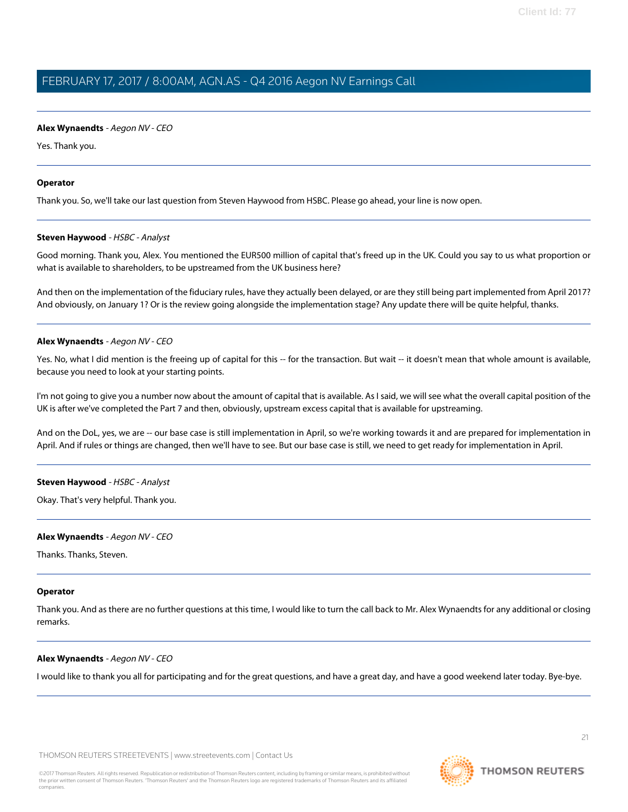#### **Alex Wynaendts** - Aegon NV - CEO

Yes. Thank you.

#### **Operator**

<span id="page-20-0"></span>Thank you. So, we'll take our last question from Steven Haywood from HSBC. Please go ahead, your line is now open.

#### **Steven Haywood** - HSBC - Analyst

Good morning. Thank you, Alex. You mentioned the EUR500 million of capital that's freed up in the UK. Could you say to us what proportion or what is available to shareholders, to be upstreamed from the UK business here?

And then on the implementation of the fiduciary rules, have they actually been delayed, or are they still being part implemented from April 2017? And obviously, on January 1? Or is the review going alongside the implementation stage? Any update there will be quite helpful, thanks.

#### **Alex Wynaendts** - Aegon NV - CEO

Yes. No, what I did mention is the freeing up of capital for this -- for the transaction. But wait -- it doesn't mean that whole amount is available, because you need to look at your starting points.

I'm not going to give you a number now about the amount of capital that is available. As I said, we will see what the overall capital position of the UK is after we've completed the Part 7 and then, obviously, upstream excess capital that is available for upstreaming.

And on the DoL, yes, we are -- our base case is still implementation in April, so we're working towards it and are prepared for implementation in April. And if rules or things are changed, then we'll have to see. But our base case is still, we need to get ready for implementation in April.

#### **Steven Haywood** - HSBC - Analyst

Okay. That's very helpful. Thank you.

#### **Alex Wynaendts** - Aegon NV - CEO

Thanks. Thanks, Steven.

#### **Operator**

Thank you. And as there are no further questions at this time, I would like to turn the call back to Mr. Alex Wynaendts for any additional or closing remarks.

#### **Alex Wynaendts** - Aegon NV - CEO

I would like to thank you all for participating and for the great questions, and have a great day, and have a good weekend later today. Bye-bye.